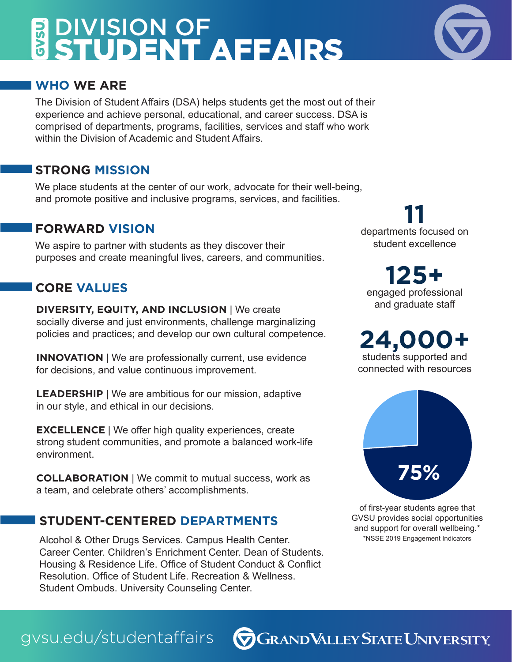# DIVISION OF **GVSU.** STUDENT AFFAIRS

### **WHO WE ARE**

The Division of Student Affairs (DSA) helps students get the most out of their experience and achieve personal, educational, and career success. DSA is comprised of departments, programs, facilities, services and staff who work within the Division of Academic and Student Affairs.

### **STRONG MISSION**

We place students at the center of our work, advocate for their well-being, and promote positive and inclusive programs, services, and facilities.

### **FORWARD VISION**

We aspire to partner with students as they discover their purposes and create meaningful lives, careers, and communities.

## **CORE VALUES**

**DIVERSITY, EQUITY, AND INCLUSION** | We create socially diverse and just environments, challenge marginalizing policies and practices; and develop our own cultural competence.

**INNOVATION** | We are professionally current, use evidence for decisions, and value continuous improvement.

**LEADERSHIP** | We are ambitious for our mission, adaptive in our style, and ethical in our decisions.

**EXCELLENCE** | We offer high quality experiences, create strong student communities, and promote a balanced work-life environment.

**COLLABORATION** | We commit to mutual success, work as a team, and celebrate others' accomplishments.

## **STUDENT-CENTERED DEPARTMENTS**

gvsu.edu/studentaffairs

Alcohol & Other Drugs Services. Campus Health Center. Career Center. Children's Enrichment Center. Dean of Students. Housing & Residence Life. Office of Student Conduct & Conflict Resolution. Office of Student Life. Recreation & Wellness. Student Ombuds. University Counseling Center.

departments focused on **11** student excellence

engaged professional **125+** and graduate staff

**2 4,000+** students supported and connected with resources